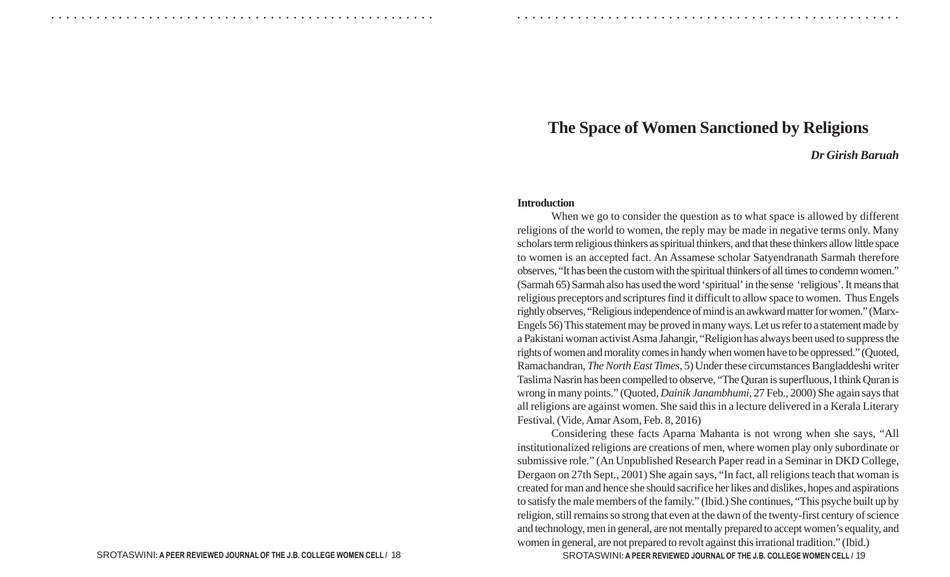#### ○ ○ ○ ○ ○ ○ ○ ○ ○ ○ ○ ○ ○ ○ ○ ○ ○ ○ ○ ○ ○ ○ ○ ○ ○ ○ ○ ○ ○ ○ ○ ○ ○ ○ ○ ○ ○ ○ ○ ○ ○ ○ ○ ○ ○ ○ ○ ○ ○ ○ ○ ○ ○ ○ ○ ○ ○ ○ ○ ○ ○ ○ ○ ○ ○ ○ ○ ○ ○ ○ ○ ○ ○ ○ ○ ○ ○ ○ ○ ○ ○ ○ ○ ○ ○ ○ ○ ○ ○ ○ ○ ○ ○ ○ ○ ○ ○ ○ ○ ○ ○ ○

# **The Space of Women Sanctioned by Religions**

### *Dr Girish Baruah*

#### **Introduction**

When we go to consider the question as to what space is allowed by different religions of the world to women, the reply may be made in negative terms only. Many scholars term religious thinkers as spiritual thinkers, and that these thinkers allow little space to women is an accepted fact. An Assamese scholar Satyendranath Sarmah therefore observes, "It has been the custom with the spiritual thinkers of all times to condemn women." (Sarmah 65) Sarmah also has used the word 'spiritual' in the sense 'religious'. It means that religious preceptors and scriptures find it difficult to allow space to women. Thus Engels rightly observes, "Religious independence of mind is an awkward matter for women." (Marx-Engels 56) This statement may be proved in many ways. Let us refer to a statement made by a Pakistani woman activist Asma Jahangir, "Religion has always been used to suppress the rights of women and morality comes in handy when women have to be oppressed." (Quoted, Ramachandran, *The North East Times*, 5) Under these circumstances Bangladdeshi writer Taslima Nasrin has been compelled to observe, "The Quran is superfluous, I think Quran is wrong in many points." (Quoted, *Dainik Janambhumi,* 27 Feb., 2000) She again says that all religions are against women. She said this in a lecture delivered in a Kerala Literary Festival. (Vide, Amar Asom, Feb. 8, 2016)

Considering these facts Aparna Mahanta is not wrong when she says, "All institutionalized religions are creations of men, where women play only subordinate or submissive role." (An Unpublished Research Paper read in a Seminar in DKD College, Dergaon on 27th Sept., 2001) She again says, "In fact, all religions teach that woman is created for man and hence she should sacrifice her likes and dislikes, hopes and aspirations to satisfy the male members of the family." (Ibid.) She continues, "This psyche built up by religion, still remains so strong that even at the dawn of the twenty-first century of science and technology, men in general, are not mentally prepared to accept women's equality, and women in general, are not prepared to revolt against this irrational tradition." (Ibid.)

SROTASWINI: A PEER REVIEWED JOURNAL OF THE J.B. COLLEGE WOMEN CELL / 19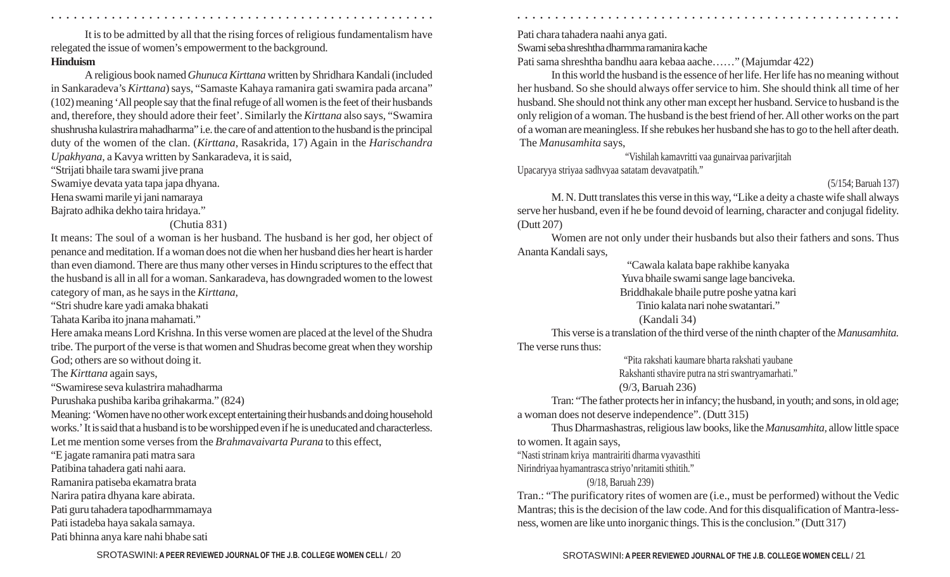○ ○ ○ ○ ○ ○ ○ ○ ○ ○ ○ ○ ○ ○ ○ ○ ○ ○ ○ ○ ○ ○ ○ ○ ○ ○ ○ ○ ○ ○ ○ ○ ○ ○ ○ ○ ○ ○ ○ ○ ○ ○ ○ ○ ○ ○ ○ ○ ○ ○ ○ ○ ○ ○ ○ ○ ○ ○ ○ ○ ○ ○ ○ ○ ○ ○ ○ ○ ○ ○ ○ ○ ○ ○ ○ ○ ○ ○ ○ ○ ○ ○ ○ ○ ○ ○ ○ ○ ○ ○ ○ ○ ○ ○ ○ ○ ○ ○ ○ ○ ○ ○

It is to be admitted by all that the rising forces of religious fundamentalism have relegated the issue of women's empowerment to the background. **Hinduism**

A religious book named *Ghunuca Kirttana* written by Shridhara Kandali (included in Sankaradeva's *Kirttana*) says, "Samaste Kahaya ramanira gati swamira pada arcana" (102) meaning 'All people say that the final refuge of all women is the feet of their husbands and, therefore, they should adore their feet'. Similarly the *Kirttana* also says, "Swamira shushrusha kulastrira mahadharma" i.e. the care of and attention to the husband is the principal duty of the women of the clan. (*Kirttana*, Rasakrida, 17) Again in the *Harischandra Upakhyana,* a Kavya written by Sankaradeva, it is said,

"Strijati bhaile tara swami jive prana Swamiye devata yata tapa japa dhyana. Hena swami marile yi jani namaraya

Bajrato adhika dekho taira hridaya."

### (Chutia 831)

It means: The soul of a woman is her husband. The husband is her god, her object of penance and meditation. If a woman does not die when her husband dies her heart is harder than even diamond. There are thus many other verses in Hindu scriptures to the effect that the husband is all in all for a woman. Sankaradeva, has downgraded women to the lowest category of man, as he says in the *Kirttana*,

"Stri shudre kare yadi amaka bhakati

Tahata Kariba ito jnana mahamati."

Here amaka means Lord Krishna. In this verse women are placed at the level of the Shudra tribe. The purport of the verse is that women and Shudras become great when they worship God; others are so without doing it.

The *Kirttana* again says,

"Swamirese seva kulastrira mahadharma

Purushaka pushiba kariba grihakarma." (824)

Meaning: 'Women have no other work except entertaining their husbands and doing household works.' It is said that a husband is to be worshipped even if he is uneducated and characterless. Let me mention some verses from the *Brahmavaivarta Purana* to this effect,

"E jagate ramanira pati matra sara Patibina tahadera gati nahi aara. Ramanira patiseba ekamatra brata Narira patira dhyana kare abirata. Pati guru tahadera tapodharmmamaya

Pati istadeba haya sakala samaya.

Pati bhinna anya kare nahi bhabe sati

Pati chara tahadera naahi anya gati.

Swami seba shreshtha dharmma ramanira kache

Pati sama shreshtha bandhu aara kebaa aache……" (Majumdar 422)

In this world the husband is the essence of her life. Her life has no meaning without her husband. So she should always offer service to him. She should think all time of her husband. She should not think any other man except her husband. Service to husband is the only religion of a woman. The husband is the best friend of her. All other works on the part of a woman are meaningless. If she rebukes her husband she has to go to the hell after death. The *Manusamhita* says,

"Vishilah kamavritti vaa gunairvaa parivarjitah Upacaryya striyaa sadhvyaa satatam devavatpatih."

## (5/154; Baruah 137)

M. N. Dutt translates this verse in this way, "Like a deity a chaste wife shall always serve her husband, even if he be found devoid of learning, character and conjugal fidelity. (Dutt 207)

Women are not only under their husbands but also their fathers and sons. Thus Ananta Kandali says,

"Cawala kalata bape rakhibe kanyaka

Yuva bhaile swami sange lage banciveka.

Briddhakale bhaile putre poshe yatna kari

Tinio kalata nari nohe swatantari."

### (Kandali 34)

This verse is a translation of the third verse of the ninth chapter of the *Manusamhita.* The verse runs thus:

> "Pita rakshati kaumare bharta rakshati yaubane Rakshanti sthavire putra na stri swantryamarhati."

(9/3, Baruah 236)

Tran: "The father protects her in infancy; the husband, in youth; and sons, in old age; a woman does not deserve independence". (Dutt 315)

Thus Dharmashastras, religious law books, like the *Manusamhita,* allow little space to women. It again says,

"Nasti strinam kriya mantrairiti dharma vyavasthiti

Nirindriyaa hyamantrasca striyo'nritamiti sthitih."

### (9/18, Baruah 239)

Tran.: "The purificatory rites of women are (i.e., must be performed) without the Vedic Mantras; this is the decision of the law code. And for this disqualification of Mantra-lessness, women are like unto inorganic things. This is the conclusion." (Dutt 317)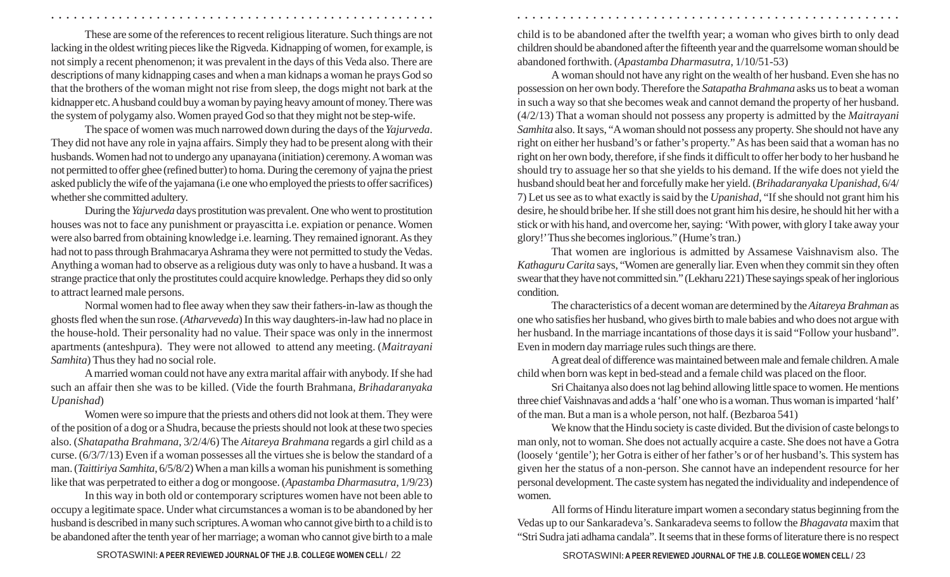These are some of the references to recent religious literature. Such things are not lacking in the oldest writing pieces like the Rigveda. Kidnapping of women, for example, is not simply a recent phenomenon; it was prevalent in the days of this Veda also. There are descriptions of many kidnapping cases and when a man kidnaps a woman he prays God so that the brothers of the woman might not rise from sleep, the dogs might not bark at the kidnapper etc. A husband could buy a woman by paying heavy amount of money. There was the system of polygamy also. Women prayed God so that they might not be step-wife.

The space of women was much narrowed down during the days of the *Yajurveda*. They did not have any role in yajna affairs. Simply they had to be present along with their husbands. Women had not to undergo any upanayana (initiation) ceremony. A woman was not permitted to offer ghee (refined butter) to homa. During the ceremony of yajna the priest asked publicly the wife of the yajamana (i.e one who employed the priests to offer sacrifices) whether she committed adultery.

During the *Yajurveda* days prostitution was prevalent. One who went to prostitution houses was not to face any punishment or prayascitta i.e. expiation or penance. Women were also barred from obtaining knowledge i.e. learning. They remained ignorant. As they had not to pass through Brahmacarya Ashrama they were not permitted to study the Vedas. Anything a woman had to observe as a religious duty was only to have a husband. It was a strange practice that only the prostitutes could acquire knowledge. Perhaps they did so only to attract learned male persons.

Normal women had to flee away when they saw their fathers-in-law as though the ghosts fled when the sun rose. (*Atharveveda*) In this way daughters-in-law had no place in the house-hold. Their personality had no value. Their space was only in the innermost apartments (anteshpura). They were not allowed to attend any meeting. (*Maitrayani Samhita*) Thus they had no social role.

A married woman could not have any extra marital affair with anybody. If she had such an affair then she was to be killed. (Vide the fourth Brahmana, *Brihadaranyaka Upanishad*)

Women were so impure that the priests and others did not look at them. They were of the position of a dog or a Shudra, because the priests should not look at these two species also. (*Shatapatha Brahmana*, 3/2/4/6) The *Aitareya Brahmana* regards a girl child as a curse. (6/3/7/13) Even if a woman possesses all the virtues she is below the standard of a man. ( *Taittiriya Samhita*, 6/5/8/2) When a man kills a woman his punishment is something like that was perpetrated to either a dog or mongoose. (*Apastamba Dharmasutra*, 1/9/23)

In this way in both old or contemporary scriptures women have not been able to occupy a legitimate space. Under what circumstances a woman is to be abandoned by her husband is described in many such scriptures. A woman who cannot give birth to a child is to be abandoned after the tenth year of her marriage; a woman who cannot give birth to a male child is to be abandoned after the twelfth year; a woman who gives birth to only dead children should be abandoned after the fifteenth year and the quarrelsome woman should be abandoned forthwith. (*Apastamba Dharmasutra*, 1/10/51-53)

○ ○ ○ ○ ○ ○ ○ ○ ○ ○ ○ ○ ○ ○ ○ ○ ○ ○ ○ ○ ○ ○ ○ ○ ○ ○ ○ ○ ○ ○ ○ ○ ○ ○ ○ ○ ○ ○ ○ ○ ○ ○ ○ ○ ○ ○ ○ ○ ○ ○ ○ ○ ○ ○ ○ ○ ○ ○ ○ ○ ○ ○ ○ ○ ○ ○ ○ ○ ○ ○ ○ ○ ○ ○ ○ ○ ○ ○ ○ ○ ○ ○ ○ ○ ○ ○ ○ ○ ○ ○ ○ ○ ○ ○ ○ ○ ○ ○ ○ ○ ○ ○

A woman should not have any right on the wealth of her husband. Even she has no possession on her own body. Therefore the *Satapatha Brahmana* asks us to beat a woman in such a way so that she becomes weak and cannot demand the property of her husband. (4/2/13) That a woman should not possess any property is admitted by the *Maitrayani Samhita* also. It says, "A woman should not possess any property. She should not have any right on either her husband's or father's property." As has been said that a woman has no right on her own body, therefore, if she finds it difficult to offer her body to her husband he should try to assuage her so that she yields to his demand. If the wife does not yield the husband should beat her and forcefully make her yield. (*Brihadaranyaka Upanishad*, 6/4/ 7) Let us see as to what exactly is said by the *Upanishad*, "If she should not grant him his desire, he should bribe her. If she still does not grant him his desire, he should hit her with a stick or with his hand, and overcome her, saying: 'With power, with glory I take away your glory!'Thus she becomes inglorious." (Hume's tran.)

That women are inglorious is admitted by Assamese Vaishnavism also. The *Kathaguru Carita* says, "Women are generally liar. Even when they commit sin they often swear that they have not committed sin." (Lekharu 221) These sayings speak of her inglorious condition.

The characteristics of a decent woman are determined by the *Aitareya Brahman* as one who satisfies her husband, who gives birth to male babies and who does not argue with her husband. In the marriage incantations of those days it is said "Follow your husband". Even in modern day marriage rules such things are there.

A great deal of difference was maintained between male and female children. A male child when born was kept in bed-stead and a female child was placed on the floor.

Sri Chaitanya also does not lag behind allowing little space to women. He mentions three chief Vaishnavas and adds a 'half' one who is a woman. Thus woman is imparted 'half' of the man. But a man is a whole person, not half. (Bezbaroa 541)

We know that the Hindu society is caste divided. But the division of caste belongs to man only, not to woman. She does not actually acquire a caste. She does not have a Gotra (loosely 'gentile'); her Gotra is either of her father's or of her husband's. This system has given her the status of a non-person. She cannot have an independent resource for her personal development. The caste system has negated the individuality and independence of women.

All forms of Hindu literature impart women a secondary status beginning from the Vedas up to our Sankaradeva's. Sankaradeva seems to follow the *Bhagavata* maxim that "Stri Sudra jati adhama candala". It seems that in these forms of literature there is no respect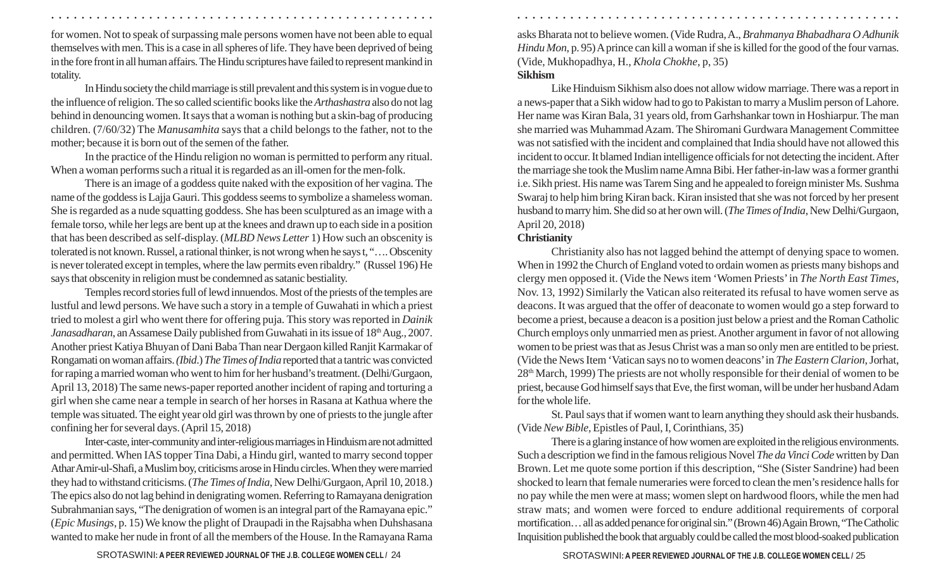for women. Not to speak of surpassing male persons women have not been able to equal themselves with men. This is a case in all spheres of life. They have been deprived of being in the fore front in all human affairs. The Hindu scriptures have failed to represent mankind in totality.

In Hindu society the child marriage is still prevalent and this system is in vogue due to the influence of religion. The so called scientific books like the *Arthashastra* also do not lag behind in denouncing women. It says that a woman is nothing but a skin-bag of producing children. (7/60/32) The *Manusamhita* says that a child belongs to the father, not to the mother; because it is born out of the semen of the father.

In the practice of the Hindu religion no woman is permitted to perform any ritual. When a woman performs such a ritual it is regarded as an ill-omen for the men-folk.

There is an image of a goddess quite naked with the exposition of her vagina. The name of the goddess is Lajja Gauri. This goddess seems to symbolize a shameless woman. She is regarded as a nude squatting goddess. She has been sculptured as an image with a female torso, while her legs are bent up at the knees and drawn up to each side in a position that has been described as self-display. (*MLBD News Letter* 1) How such an obscenity is tolerated is not known. Russel, a rational thinker, is not wrong when he says t, "…. Obscenity is never tolerated except in temples, where the law permits even ribaldry." (Russel 196) He says that obscenity in religion must be condemned as satanic bestiality.

Temples record stories full of lewd innuendos. Most of the priests of the temples are lustful and lewd persons. We have such a story in a temple of Guwahati in which a priest tried to molest a girl who went there for offering puja. This story was reported in *Dainik Janasadharan*, an Assamese Daily published from Guwahati in its issue of 18<sup>th</sup> Aug., 2007. Another priest Katiya Bhuyan of Dani Baba Than near Dergaon killed Ranjit Karmakar of Rongamati on woman affairs. *(Ibid*.) *The Times of India* reported that a tantric was convicted for raping a married woman who went to him for her husband's treatment. (Delhi/Gurgaon, April 13, 2018) The same news-paper reported another incident of raping and torturing a girl when she came near a temple in search of her horses in Rasana at Kathua where the temple was situated. The eight year old girl was thrown by one of priests to the jungle after confining her for several days. (April 15, 2018)

Inter-caste, inter-community and inter-religious marriages in Hinduism are not admitted and permitted. When IAS topper Tina Dabi, a Hindu girl, wanted to marry second topper Athar Amir-ul-Shafi, a Muslim boy, criticisms arose in Hindu circles. When they were married they had to withstand criticisms. (*The Times of India*, New Delhi/Gurgaon, April 10, 2018.) The epics also do not lag behind in denigrating women. Referring to Ramayana denigration Subrahmanian says, "The denigration of women is an integral part of the Ramayana epic." (*Epic Musings*, p. 15) We know the plight of Draupadi in the Rajsabha when Duhshasana wanted to make her nude in front of all the members of the House. In the Ramayana Rama asks Bharata not to believe women. (Vide Rudra, A., *Brahmanya Bhabadhara O Adhunik Hindu Mon*, p. 95) A prince can kill a woman if she is killed for the good of the four varnas. (Vide, Mukhopadhya, H., *Khola Chokhe*, p, 35)

#### **Sikhism**

○ ○ ○ ○ ○ ○ ○ ○ ○ ○ ○ ○ ○ ○ ○ ○ ○ ○ ○ ○ ○ ○ ○ ○ ○ ○ ○ ○ ○ ○ ○ ○ ○ ○ ○ ○ ○ ○ ○ ○ ○ ○ ○ ○ ○ ○ ○ ○ ○ ○ ○ ○ ○ ○ ○ ○ ○ ○ ○ ○ ○ ○ ○ ○ ○ ○ ○ ○ ○ ○ ○ ○ ○ ○ ○ ○ ○ ○ ○ ○ ○ ○ ○ ○ ○ ○ ○ ○ ○ ○ ○ ○ ○ ○ ○ ○ ○ ○ ○ ○ ○ ○

Like Hinduism Sikhism also does not allow widow marriage. There was a report in a news-paper that a Sikh widow had to go to Pakistan to marry a Muslim person of Lahore. Her name was Kiran Bala, 31 years old, from Garhshankar town in Hoshiarpur. The man she married was Muhammad Azam. The Shiromani Gurdwara Management Committee was not satisfied with the incident and complained that India should have not allowed this incident to occur. It blamed Indian intelligence officials for not detecting the incident. After the marriage she took the Muslim name Amna Bibi. Her father-in-law was a former granthi i.e. Sikh priest. His name was Tarem Sing and he appealed to foreign minister Ms. Sushma Swaraj to help him bring Kiran back. Kiran insisted that she was not forced by her present husband to marry him. She did so at her own will. (*The Times of India*, New Delhi/Gurgaon, April 20, 2018)

### **Christianity**

Christianity also has not lagged behind the attempt of denying space to women. When in 1992 the Church of England voted to ordain women as priests many bishops and clergy men opposed it. (Vide the News item 'Women Priests' in *The North East Times*, Nov. 13, 1992) Similarly the Vatican also reiterated its refusal to have women serve as deacons. It was argued that the offer of deaconate to women would go a step forward to become a priest, because a deacon is a position just below a priest and the Roman Catholic Church employs only unmarried men as priest. Another argument in favor of not allowing women to be priest was that as Jesus Christ was a man so only men are entitled to be priest. (Vide the News Item 'Vatican says no to women deacons' in *The Eastern Clarion*, Jorhat, 28th March, 1999) The priests are not wholly responsible for their denial of women to be priest, because God himself says that Eve, the first woman, will be under her husband Adam for the whole life.

St. Paul says that if women want to learn anything they should ask their husbands. (Vide *New Bible*, Epistles of Paul, I, Corinthians, 35)

There is a glaring instance of how women are exploited in the religious environments. Such a description we find in the famous religious Novel *The da Vinci Code* written by Dan Brown. Let me quote some portion if this description, "She (Sister Sandrine) had been shocked to learn that female numeraries were forced to clean the men's residence halls for no pay while the men were at mass; women slept on hardwood floors, while the men had straw mats; and women were forced to endure additional requirements of corporal mortification… all as added penance for original sin." (Brown 46) Again Brown, "The Catholic Inquisition published the book that arguably could be called the most blood-soaked publication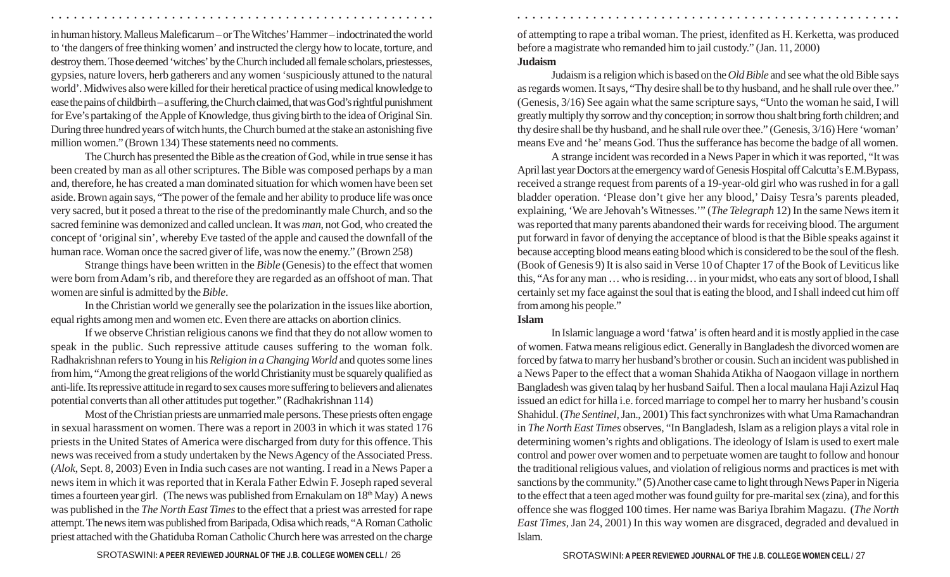in human history. Malleus Maleficarum – or The Witches' Hammer – indoctrinated the world to 'the dangers of free thinking women' and instructed the clergy how to locate, torture, and destroy them. Those deemed 'witches' by the Church included all female scholars, priestesses, gypsies, nature lovers, herb gatherers and any women 'suspiciously attuned to the natural world'. Midwives also were killed for their heretical practice of using medical knowledge to ease the pains of childbirth – a suffering, the Church claimed, that was God's rightful punishment for Eve's partaking of the Apple of Knowledge, thus giving birth to the idea of Original Sin. During three hundred years of witch hunts, the Church burned at the stake an astonishing five million women." (Brown 134) These statements need no comments.

The Church has presented the Bible as the creation of God, while in true sense it has been created by man as all other scriptures. The Bible was composed perhaps by a man and, therefore, he has created a man dominated situation for which women have been set aside. Brown again says, "The power of the female and her ability to produce life was once very sacred, but it posed a threat to the rise of the predominantly male Church, and so the sacred feminine was demonized and called unclean. It was *man*, not God, who created the concept of 'original sin', whereby Eve tasted of the apple and caused the downfall of the human race. Woman once the sacred giver of life, was now the enemy." (Brown 258)

Strange things have been written in the *Bible* (Genesis) to the effect that women were born from Adam's rib, and therefore they are regarded as an offshoot of man. That women are sinful is admitted by the *Bible*.

In the Christian world we generally see the polarization in the issues like abortion, equal rights among men and women etc. Even there are attacks on abortion clinics.

If we observe Christian religious canons we find that they do not allow women to speak in the public. Such repressive attitude causes suffering to the woman folk. Radhakrishnan refers to Young in his *Religion in a Changing World* and quotes some lines from him, "Among the great religions of the world Christianity must be squarely qualified as anti-life. Its repressive attitude in regard to sex causes more suffering to believers and alienates potential converts than all other attitudes put together." (Radhakrishnan 114)

Most of the Christian priests are unmarried male persons. These priests often engage in sexual harassment on women. There was a report in 2003 in which it was stated 176 priests in the United States of America were discharged from duty for this offence. This news was received from a study undertaken by the News Agency of the Associated Press. (*Alok*, Sept. 8, 2003) Even in India such cases are not wanting. I read in a News Paper a news item in which it was reported that in Kerala Father Edwin F. Joseph raped several times a fourteen year girl. (The news was published from Ernakulam on 18<sup>th</sup> May) A news was published in the *The North East Times* to the effect that a priest was arrested for rape attempt. The news item was published from Baripada, Odisa which reads, "A Roman Catholic priest attached with the Ghatiduba Roman Catholic Church here was arrested on the charge of attempting to rape a tribal woman. The priest, idenfited as H. Kerketta, was produced before a magistrate who remanded him to jail custody." (Jan. 11, 2000) **Judaism**

Judaism is a religion which is based on the *Old Bible* and see what the old Bible says as regards women. It says, "Thy desire shall be to thy husband, and he shall rule over thee." (Genesis, 3/16) See again what the same scripture says, "Unto the woman he said, I will greatly multiply thy sorrow and thy conception; in sorrow thou shalt bring forth children; and thy desire shall be thy husband, and he shall rule over thee." (Genesis, 3/16) Here 'woman' means Eve and 'he' means God. Thus the sufferance has become the badge of all women.

A strange incident was recorded in a News Paper in which it was reported, "It was April last year Doctors at the emergency ward of Genesis Hospital off Calcutta's E.M.Bypass, received a strange request from parents of a 19-year-old girl who was rushed in for a gall bladder operation. 'Please don't give her any blood,' Daisy Tesra's parents pleaded, explaining, 'We are Jehovah's Witnesses.'" (*The Telegraph* 12) In the same News item it was reported that many parents abandoned their wards for receiving blood. The argument put forward in favor of denying the acceptance of blood is that the Bible speaks against it because accepting blood means eating blood which is considered to be the soul of the flesh. (Book of Genesis 9) It is also said in Verse 10 of Chapter 17 of the Book of Leviticus like this, "As for any man … who is residing… in your midst, who eats any sort of blood, I shall certainly set my face against the soul that is eating the blood, and I shall indeed cut him off from among his people."

#### **Islam**

○ ○ ○ ○ ○ ○ ○ ○ ○ ○ ○ ○ ○ ○ ○ ○ ○ ○ ○ ○ ○ ○ ○ ○ ○ ○ ○ ○ ○ ○ ○ ○ ○ ○ ○ ○ ○ ○ ○ ○ ○ ○ ○ ○ ○ ○ ○ ○ ○ ○ ○ ○ ○ ○ ○ ○ ○ ○ ○ ○ ○ ○ ○ ○ ○ ○ ○ ○ ○ ○ ○ ○ ○ ○ ○ ○ ○ ○ ○ ○ ○ ○ ○ ○ ○ ○ ○ ○ ○ ○ ○ ○ ○ ○ ○ ○ ○ ○ ○ ○ ○ ○

In Islamic language a word 'fatwa' is often heard and it is mostly applied in the case of women. Fatwa means religious edict. Generally in Bangladesh the divorced women are forced by fatwa to marry her husband's brother or cousin. Such an incident was published in a News Paper to the effect that a woman Shahida Atikha of Naogaon village in northern Bangladesh was given talaq by her husband Saiful. Then a local maulana Haji Azizul Haq issued an edict for hilla i.e. forced marriage to compel her to marry her husband's cousin Shahidul. (*The Sentinel*, Jan., 2001) This fact synchronizes with what Uma Ramachandran in *The North East Times* observes, "In Bangladesh, Islam as a religion plays a vital role in determining women's rights and obligations. The ideology of Islam is used to exert male control and power over women and to perpetuate women are taught to follow and honour the traditional religious values, and violation of religious norms and practices is met with sanctions by the community." (5) Another case came to light through News Paper in Nigeria to the effect that a teen aged mother was found guilty for pre-marital sex (zina), and for this offence she was flogged 100 times. Her name was Bariya Ibrahim Magazu. (*The North East Times,* Jan 24, 2001) In this way women are disgraced, degraded and devalued in Islam.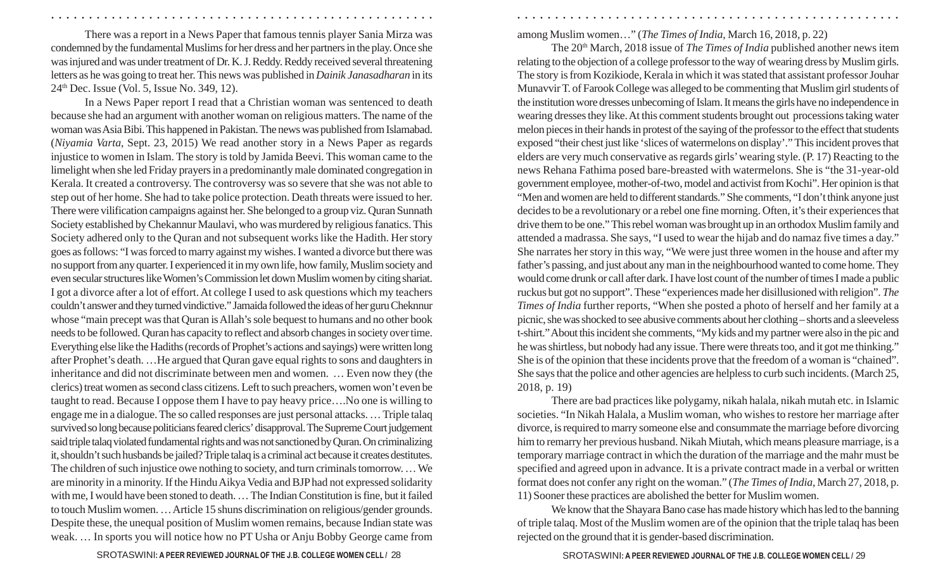There was a report in a News Paper that famous tennis player Sania Mirza was condemned by the fundamental Muslims for her dress and her partners in the play. Once she was injured and was under treatment of Dr. K. J. Reddy. Reddy received several threatening letters as he was going to treat her. This news was published in *Dainik Janasadharan* in its 24th Dec. Issue (Vol. 5, Issue No. 349, 12).

In a News Paper report I read that a Christian woman was sentenced to death because she had an argument with another woman on religious matters. The name of the woman was Asia Bibi. This happened in Pakistan. The news was published from Islamabad. (*Niyamia Varta*, Sept. 23, 2015) We read another story in a News Paper as regards injustice to women in Islam. The story is told by Jamida Beevi. This woman came to the limelight when she led Friday prayers in a predominantly male dominated congregation in Kerala. It created a controversy. The controversy was so severe that she was not able to step out of her home. She had to take police protection. Death threats were issued to her. There were vilification campaigns against her. She belonged to a group viz. Quran Sunnath Society established by Chekannur Maulavi, who was murdered by religious fanatics. This Society adhered only to the Quran and not subsequent works like the Hadith. Her story goes as follows: "I was forced to marry against my wishes. I wanted a divorce but there was no support from any quarter. I experienced it in my own life, how family, Muslim society and even secular structures like Women's Commission let down Muslim women by citing shariat. I got a divorce after a lot of effort. At college I used to ask questions which my teachers couldn't answer and they turned vindictive." Jamaida followed the ideas of her guru Cheknnur whose "main precept was that Quran is Allah's sole bequest to humans and no other book needs to be followed. Quran has capacity to reflect and absorb changes in society over time. Everything else like the Hadiths (records of Prophet's actions and sayings) were written long after Prophet's death. …He argued that Quran gave equal rights to sons and daughters in inheritance and did not discriminate between men and women. … Even now they (the clerics) treat women as second class citizens. Left to such preachers, women won't even be taught to read. Because I oppose them I have to pay heavy price….No one is willing to engage me in a dialogue. The so called responses are just personal attacks. … Triple talaq survived so long because politicians feared clerics' disapproval. The Supreme Court judgement said triple talaq violated fundamental rights and was not sanctioned by Quran. On criminalizing it, shouldn't such husbands be jailed? Triple talaq is a criminal act because it creates destitutes. The children of such injustice owe nothing to society, and turn criminals tomorrow. … We are minority in a minority. If the Hindu Aikya Vedia and BJP had not expressed solidarity with me, I would have been stoned to death. … The Indian Constitution is fine, but it failed to touch Muslim women. … Article 15 shuns discrimination on religious/gender grounds. Despite these, the unequal position of Muslim women remains, because Indian state was weak. … In sports you will notice how no PT Usha or Anju Bobby George came from among Muslim women…" (*The Times of India*, March 16, 2018, p. 22)

○ ○ ○ ○ ○ ○ ○ ○ ○ ○ ○ ○ ○ ○ ○ ○ ○ ○ ○ ○ ○ ○ ○ ○ ○ ○ ○ ○ ○ ○ ○ ○ ○ ○ ○ ○ ○ ○ ○ ○ ○ ○ ○ ○ ○ ○ ○ ○ ○ ○ ○ ○ ○ ○ ○ ○ ○ ○ ○ ○ ○ ○ ○ ○ ○ ○ ○ ○ ○ ○ ○ ○ ○ ○ ○ ○ ○ ○ ○ ○ ○ ○ ○ ○ ○ ○ ○ ○ ○ ○ ○ ○ ○ ○ ○ ○ ○ ○ ○ ○ ○ ○

The 20th March, 2018 issue of *The Times of India* published another news item relating to the objection of a college professor to the way of wearing dress by Muslim girls. The story is from Kozikiode, Kerala in which it was stated that assistant professor Jouhar Munavvir T. of Farook College was alleged to be commenting that Muslim girl students of the institution wore dresses unbecoming of Islam. It means the girls have no independence in wearing dresses they like. At this comment students brought out processions taking water melon pieces in their hands in protest of the saying of the professor to the effect that students exposed "their chest just like 'slices of watermelons on display'." This incident proves that elders are very much conservative as regards girls' wearing style. (P. 17) Reacting to the news Rehana Fathima posed bare-breasted with watermelons. She is "the 31-year-old government employee, mother-of-two, model and activist from Kochi". Her opinion is that "Men and women are held to different standards." She comments, "I don't think anyone just decides to be a revolutionary or a rebel one fine morning. Often, it's their experiences that drive them to be one." This rebel woman was brought up in an orthodox Muslim family and attended a madrassa. She says, "I used to wear the hijab and do namaz five times a day." She narrates her story in this way, "We were just three women in the house and after my father's passing, and just about any man in the neighbourhood wanted to come home. They would come drunk or call after dark. I have lost count of the number of times I made a public ruckus but got no support". These "experiences made her disillusioned with religion". *The Times of India* further reports, "When she posted a photo of herself and her family at a picnic, she was shocked to see abusive comments about her clothing – shorts and a sleeveless t-shirt." About this incident she comments, "My kids and my partner were also in the pic and he was shirtless, but nobody had any issue. There were threats too, and it got me thinking." She is of the opinion that these incidents prove that the freedom of a woman is "chained". She says that the police and other agencies are helpless to curb such incidents. (March 25, 2018, p. 19)

There are bad practices like polygamy, nikah halala, nikah mutah etc. in Islamic societies. "In Nikah Halala, a Muslim woman, who wishes to restore her marriage after divorce, is required to marry someone else and consummate the marriage before divorcing him to remarry her previous husband. Nikah Miutah, which means pleasure marriage, is a temporary marriage contract in which the duration of the marriage and the mahr must be specified and agreed upon in advance. It is a private contract made in a verbal or written format does not confer any right on the woman." (*The Times of India*, March 27, 2018, p. 11) Sooner these practices are abolished the better for Muslim women.

We know that the Shayara Bano case has made history which has led to the banning of triple talaq. Most of the Muslim women are of the opinion that the triple talaq has been rejected on the ground that it is gender-based discrimination.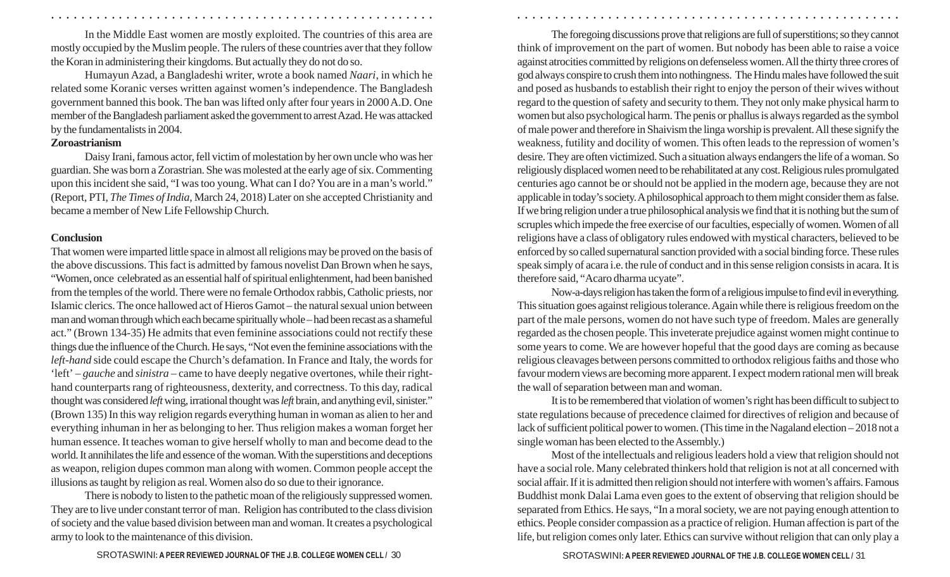In the Middle East women are mostly exploited. The countries of this area are mostly occupied by the Muslim people. The rulers of these countries aver that they follow the Koran in administering their kingdoms. But actually they do not do so.

Humayun Azad, a Bangladeshi writer, wrote a book named *Naari*, in which he related some Koranic verses written against women's independence. The Bangladesh government banned this book. The ban was lifted only after four years in 2000 A.D. One member of the Bangladesh parliament asked the government to arrest Azad. He was attacked by the fundamentalists in 2004.

### **Zoroastrianism**

Daisy Irani, famous actor, fell victim of molestation by her own uncle who was her guardian. She was born a Zorastrian. She was molested at the early age of six. Commenting upon this incident she said, "I was too young. What can I do? You are in a man's world." (Report, PTI, *The Times of India*, March 24, 2018) Later on she accepted Christianity and became a member of New Life Fellowship Church.

### **Conclusion**

That women were imparted little space in almost all religions may be proved on the basis of the above discussions. This fact is admitted by famous novelist Dan Brown when he says, "Women, once celebrated as an essential half of spiritual enlightenment, had been banished from the temples of the world. There were no female Orthodox rabbis, Catholic priests, nor Islamic clerics. The once hallowed act of Hieros Gamot – the natural sexual union between man and woman through which each became spiritually whole – had been recast as a shameful act." (Brown 134-35) He admits that even feminine associations could not rectify these things due the influence of the Church. He says, "Not even the feminine associations with the *left-hand* side could escape the Church's defamation. In France and Italy, the words for 'left' – *gauche* and *sinistra* – came to have deeply negative overtones, while their righthand counterparts rang of righteousness, dexterity, and correctness. To this day, radical thought was considered *left* wing, irrational thought was *left* brain, and anything evil, sinister." (Brown 135) In this way religion regards everything human in woman as alien to her and everything inhuman in her as belonging to her. Thus religion makes a woman forget her human essence. It teaches woman to give herself wholly to man and become dead to the world. It annihilates the life and essence of the woman. With the superstitions and deceptions as weapon, religion dupes common man along with women. Common people accept the illusions as taught by religion as real. Women also do so due to their ignorance.

There is nobody to listen to the pathetic moan of the religiously suppressed women. They are to live under constant terror of man. Religion has contributed to the class division of society and the value based division between man and woman. It creates a psychological army to look to the maintenance of this division.

The foregoing discussions prove that religions are full of superstitions; so they cannot think of improvement on the part of women. But nobody has been able to raise a voice against atrocities committed by religions on defenseless women. All the thirty three crores of god always conspire to crush them into nothingness. The Hindu males have followed the suit and posed as husbands to establish their right to enjoy the person of their wives without regard to the question of safety and security to them. They not only make physical harm to women but also psychological harm. The penis or phallus is always regarded as the symbol of male power and therefore in Shaivism the linga worship is prevalent. All these signify the weakness, futility and docility of women. This often leads to the repression of women's desire. They are often victimized. Such a situation always endangers the life of a woman. So religiously displaced women need to be rehabilitated at any cost. Religious rules promulgated centuries ago cannot be or should not be applied in the modern age, because they are not applicable in today's society. A philosophical approach to them might consider them as false. If we bring religion under a true philosophical analysis we find that it is nothing but the sum of scruples which impede the free exercise of our faculties, especially of women. Women of all religions have a class of obligatory rules endowed with mystical characters, believed to be enforced by so called supernatural sanction provided with a social binding force. These rules speak simply of acara i.e. the rule of conduct and in this sense religion consists in acara. It is therefore said, "Acaro dharma ucyate".

○ ○ ○ ○ ○ ○ ○ ○ ○ ○ ○ ○ ○ ○ ○ ○ ○ ○ ○ ○ ○ ○ ○ ○ ○ ○ ○ ○ ○ ○ ○ ○ ○ ○ ○ ○ ○ ○ ○ ○ ○ ○ ○ ○ ○ ○ ○ ○ ○ ○ ○ ○ ○ ○ ○ ○ ○ ○ ○ ○ ○ ○ ○ ○ ○ ○ ○ ○ ○ ○ ○ ○ ○ ○ ○ ○ ○ ○ ○ ○ ○ ○ ○ ○ ○ ○ ○ ○ ○ ○ ○ ○ ○ ○ ○ ○ ○ ○ ○ ○ ○ ○

Now-a-days religion has taken the form of a religious impulse to find evil in everything. This situation goes against religious tolerance. Again while there is religious freedom on the part of the male persons, women do not have such type of freedom. Males are generally regarded as the chosen people. This inveterate prejudice against women might continue to some years to come. We are however hopeful that the good days are coming as because religious cleavages between persons committed to orthodox religious faiths and those who favour modern views are becoming more apparent. I expect modern rational men will break the wall of separation between man and woman.

It is to be remembered that violation of women's right has been difficult to subject to state regulations because of precedence claimed for directives of religion and because of lack of sufficient political power to women. (This time in the Nagaland election – 2018 not a single woman has been elected to the Assembly.)

Most of the intellectuals and religious leaders hold a view that religion should not have a social role. Many celebrated thinkers hold that religion is not at all concerned with social affair. If it is admitted then religion should not interfere with women's affairs. Famous Buddhist monk Dalai Lama even goes to the extent of observing that religion should be separated from Ethics. He says, "In a moral society, we are not paying enough attention to ethics. People consider compassion as a practice of religion. Human affection is part of the life, but religion comes only later. Ethics can survive without religion that can only play a